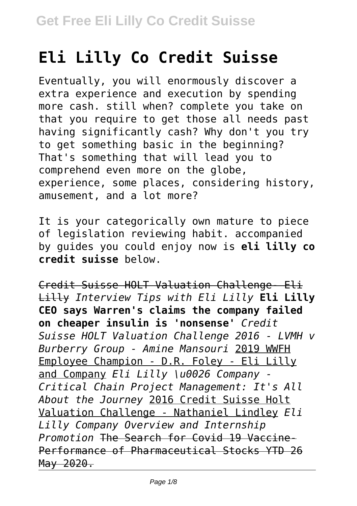# **Eli Lilly Co Credit Suisse**

Eventually, you will enormously discover a extra experience and execution by spending more cash. still when? complete you take on that you require to get those all needs past having significantly cash? Why don't you try to get something basic in the beginning? That's something that will lead you to comprehend even more on the globe, experience, some places, considering history, amusement, and a lot more?

It is your categorically own mature to piece of legislation reviewing habit. accompanied by guides you could enjoy now is **eli lilly co credit suisse** below.

Credit Suisse HOLT Valuation Challenge- Eli Lilly *Interview Tips with Eli Lilly* **Eli Lilly CEO says Warren's claims the company failed on cheaper insulin is 'nonsense'** *Credit Suisse HOLT Valuation Challenge 2016 - LVMH v Burberry Group - Amine Mansouri* 2019 WWFH Employee Champion - D.R. Foley - Eli Lilly and Company *Eli Lilly \u0026 Company - Critical Chain Project Management: It's All About the Journey* 2016 Credit Suisse Holt Valuation Challenge - Nathaniel Lindley *Eli Lilly Company Overview and Internship Promotion* The Search for Covid 19 Vaccine-Performance of Pharmaceutical Stocks YTD 26 May 2020.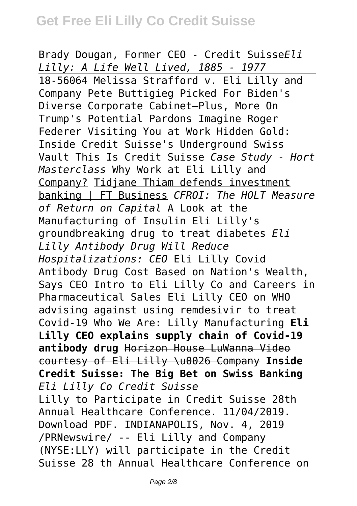Brady Dougan, Former CEO - Credit Suisse*Eli Lilly: A Life Well Lived, 1885 - 1977* 18-56064 Melissa Strafford v. Eli Lilly and Company Pete Buttigieg Picked For Biden's Diverse Corporate Cabinet—Plus, More On Trump's Potential Pardons Imagine Roger Federer Visiting You at Work Hidden Gold: Inside Credit Suisse's Underground Swiss Vault This Is Credit Suisse *Case Study - Hort Masterclass* Why Work at Eli Lilly and Company? Tidjane Thiam defends investment banking | FT Business *CFROI: The HOLT Measure of Return on Capital* A Look at the Manufacturing of Insulin Eli Lilly's groundbreaking drug to treat diabetes *Eli Lilly Antibody Drug Will Reduce Hospitalizations: CEO* Eli Lilly Covid Antibody Drug Cost Based on Nation's Wealth, Says CEO Intro to Eli Lilly Co and Careers in Pharmaceutical Sales Eli Lilly CEO on WHO advising against using remdesivir to treat Covid-19 Who We Are: Lilly Manufacturing **Eli Lilly CEO explains supply chain of Covid-19 antibody drug** Horizon House LuWanna Video courtesy of Eli Lilly \u0026 Company **Inside Credit Suisse: The Big Bet on Swiss Banking** *Eli Lilly Co Credit Suisse* Lilly to Participate in Credit Suisse 28th Annual Healthcare Conference. 11/04/2019. Download PDF. INDIANAPOLIS, Nov. 4, 2019 /PRNewswire/ -- Eli Lilly and Company (NYSE:LLY) will participate in the Credit Suisse 28 th Annual Healthcare Conference on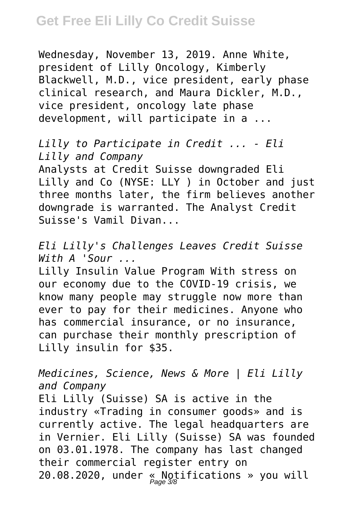Wednesday, November 13, 2019. Anne White, president of Lilly Oncology, Kimberly Blackwell, M.D., vice president, early phase clinical research, and Maura Dickler, M.D., vice president, oncology late phase development, will participate in a ...

*Lilly to Participate in Credit ... - Eli Lilly and Company* Analysts at Credit Suisse downgraded Eli

Lilly and Co (NYSE: LLY ) in October and just three months later, the firm believes another downgrade is warranted. The Analyst Credit Suisse's Vamil Divan...

*Eli Lilly's Challenges Leaves Credit Suisse With A 'Sour ...*

Lilly Insulin Value Program With stress on our economy due to the COVID-19 crisis, we know many people may struggle now more than ever to pay for their medicines. Anyone who has commercial insurance, or no insurance, can purchase their monthly prescription of Lilly insulin for \$35.

*Medicines, Science, News & More | Eli Lilly and Company*

Eli Lilly (Suisse) SA is active in the industry «Trading in consumer goods» and is currently active. The legal headquarters are in Vernier. Eli Lilly (Suisse) SA was founded on 03.01.1978. The company has last changed their commercial register entry on 20.08.2020, under « Notifications » you will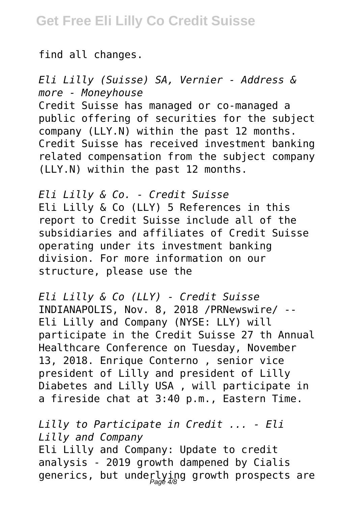find all changes.

*Eli Lilly (Suisse) SA, Vernier - Address & more - Moneyhouse* Credit Suisse has managed or co-managed a public offering of securities for the subject company (LLY.N) within the past 12 months. Credit Suisse has received investment banking related compensation from the subject company (LLY.N) within the past 12 months.

*Eli Lilly & Co. - Credit Suisse* Eli Lilly & Co (LLY) 5 References in this report to Credit Suisse include all of the subsidiaries and affiliates of Credit Suisse operating under its investment banking division. For more information on our structure, please use the

*Eli Lilly & Co (LLY) - Credit Suisse* INDIANAPOLIS, Nov. 8, 2018 /PRNewswire/ -- Eli Lilly and Company (NYSE: LLY) will participate in the Credit Suisse 27 th Annual Healthcare Conference on Tuesday, November 13, 2018. Enrique Conterno , senior vice president of Lilly and president of Lilly Diabetes and Lilly USA , will participate in a fireside chat at 3:40 p.m., Eastern Time.

*Lilly to Participate in Credit ... - Eli Lilly and Company* Eli Lilly and Company: Update to credit analysis - 2019 growth dampened by Cialis generics, but underlying growth prospects are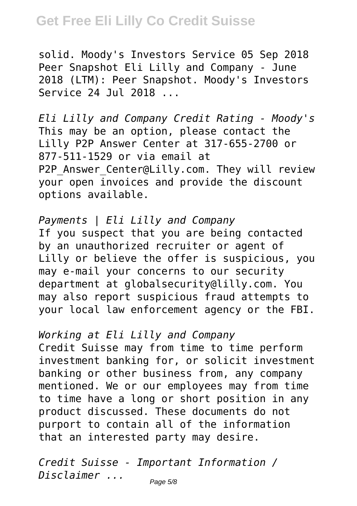solid. Moody's Investors Service 05 Sep 2018 Peer Snapshot Eli Lilly and Company - June 2018 (LTM): Peer Snapshot. Moody's Investors Service 24 Jul 2018 ...

*Eli Lilly and Company Credit Rating - Moody's* This may be an option, please contact the Lilly P2P Answer Center at 317-655-2700 or 877-511-1529 or via email at P2P Answer Center@Lilly.com. They will review your open invoices and provide the discount options available.

*Payments | Eli Lilly and Company* If you suspect that you are being contacted by an unauthorized recruiter or agent of Lilly or believe the offer is suspicious, you may e-mail your concerns to our security department at globalsecurity@lilly.com. You may also report suspicious fraud attempts to your local law enforcement agency or the FBI.

*Working at Eli Lilly and Company*

Credit Suisse may from time to time perform investment banking for, or solicit investment banking or other business from, any company mentioned. We or our employees may from time to time have a long or short position in any product discussed. These documents do not purport to contain all of the information that an interested party may desire.

*Credit Suisse - Important Information / Disclaimer ...*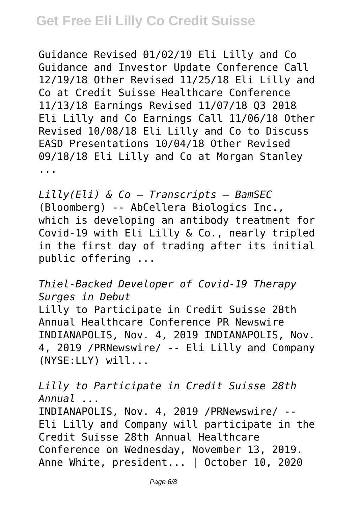Guidance Revised 01/02/19 Eli Lilly and Co Guidance and Investor Update Conference Call 12/19/18 Other Revised 11/25/18 Eli Lilly and Co at Credit Suisse Healthcare Conference 11/13/18 Earnings Revised 11/07/18 Q3 2018 Eli Lilly and Co Earnings Call 11/06/18 Other Revised 10/08/18 Eli Lilly and Co to Discuss EASD Presentations 10/04/18 Other Revised 09/18/18 Eli Lilly and Co at Morgan Stanley ...

*Lilly(Eli) & Co – Transcripts – BamSEC* (Bloomberg) -- AbCellera Biologics Inc., which is developing an antibody treatment for Covid-19 with Eli Lilly & Co., nearly tripled in the first day of trading after its initial public offering ...

*Thiel-Backed Developer of Covid-19 Therapy Surges in Debut*

Lilly to Participate in Credit Suisse 28th Annual Healthcare Conference PR Newswire INDIANAPOLIS, Nov. 4, 2019 INDIANAPOLIS, Nov. 4, 2019 /PRNewswire/ -- Eli Lilly and Company (NYSE:LLY) will...

*Lilly to Participate in Credit Suisse 28th Annual ...*

INDIANAPOLIS, Nov. 4, 2019 /PRNewswire/ -- Eli Lilly and Company will participate in the Credit Suisse 28th Annual Healthcare Conference on Wednesday, November 13, 2019. Anne White, president... | October 10, 2020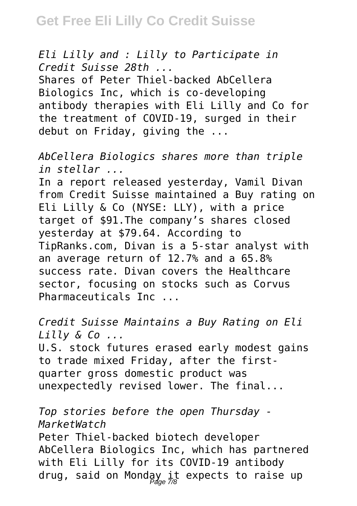*Eli Lilly and : Lilly to Participate in Credit Suisse 28th ...* Shares of Peter Thiel-backed AbCellera Biologics Inc, which is co-developing antibody therapies with Eli Lilly and Co for the treatment of COVID-19, surged in their debut on Friday, giving the ...

*AbCellera Biologics shares more than triple in stellar ...*

In a report released yesterday, Vamil Divan from Credit Suisse maintained a Buy rating on Eli Lilly & Co (NYSE: LLY), with a price target of \$91.The company's shares closed yesterday at \$79.64. According to TipRanks.com, Divan is a 5-star analyst with an average return of 12.7% and a 65.8% success rate. Divan covers the Healthcare sector, focusing on stocks such as Corvus Pharmaceuticals Inc ...

*Credit Suisse Maintains a Buy Rating on Eli Lilly & Co ...* U.S. stock futures erased early modest gains to trade mixed Friday, after the firstquarter gross domestic product was unexpectedly revised lower. The final...

*Top stories before the open Thursday - MarketWatch* Peter Thiel-backed biotech developer AbCellera Biologics Inc, which has partnered with Eli Lilly for its COVID-19 antibody drug, said on Monday it expects to raise up